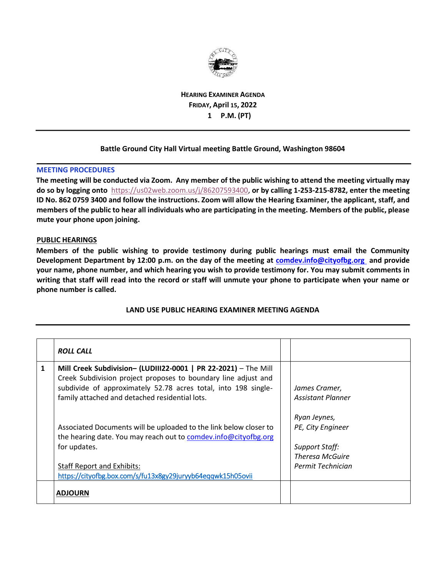

**HEARING EXAMINER AGENDA FRIDAY, April 15, 2022 1 P.M. (PT)** 

## **Battle Ground City Hall Virtual meeting Battle Ground, Washington 98604**

## **MEETING PROCEDURES**

**The meeting will be conducted via Zoom. Any member of the public wishing to attend the meeting virtually may do so by logging ont[o](https://us02web.zoom.us/j/84915343548)** [https://us02web.zoom.us/j/86207593400,](https://us02web.zoom.us/j/86207593400) **or by calling 1-253-215-8782, enter the meeting ID No. 862 0759 3400 and follow the instructions. Zoom will allow the Hearing Examiner, the applicant, staff, and members of the public to hear all individuals who are participating in the meeting. Members of the public, please mute your phone upon joining.** 

## **PUBLIC HEARINGS**

**Members of the public wishing to provide testimony during public hearings must email the Community Development Department by 12:00 p.m. on the day of the meeting at comdev.info@cityofbg.org and provide your name, phone number, and which hearing you wish to provide testimony for. You may submit comments in writing that staff will read into the record or staff will unmute your phone to participate when your name or phone number is called.** 

## **LAND USE PUBLIC HEARING EXAMINER MEETING AGENDA**

|   | <b>ROLL CALL</b>                                                                                                                                                                                                                                                                                                                                                                              |                                                                                |
|---|-----------------------------------------------------------------------------------------------------------------------------------------------------------------------------------------------------------------------------------------------------------------------------------------------------------------------------------------------------------------------------------------------|--------------------------------------------------------------------------------|
| 1 | Mill Creek Subdivision- (LUDIII22-0001   PR 22-2021) - The Mill<br>Creek Subdivision project proposes to boundary line adjust and<br>subdivide of approximately 52.78 acres total, into 198 single-<br>family attached and detached residential lots.<br>Associated Documents will be uploaded to the link below closer to<br>the hearing date. You may reach out to comdev.info@cityofbg.org | James Cramer,<br><b>Assistant Planner</b><br>Ryan Jeynes,<br>PE, City Engineer |
|   | for updates.<br><b>Staff Report and Exhibits:</b><br>https://cityofbg.box.com/s/fu13x8gy29juryyb64eqqwk15h05ovii                                                                                                                                                                                                                                                                              | <b>Support Staff:</b><br><b>Theresa McGuire</b><br>Permit Technician           |
|   | <b>ADJOURN</b>                                                                                                                                                                                                                                                                                                                                                                                |                                                                                |